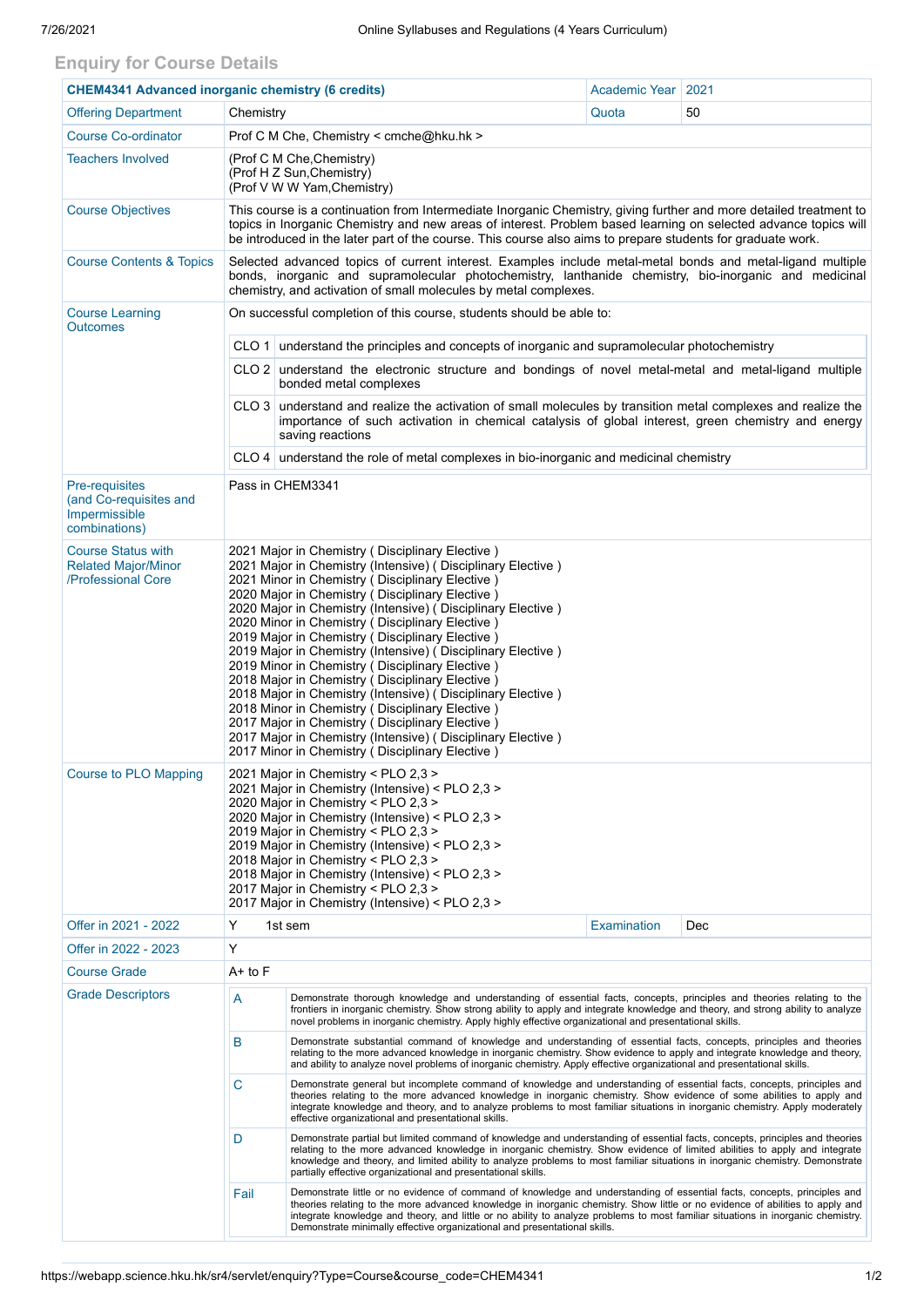## **Enquiry for Course Details**

| <b>CHEM4341 Advanced inorganic chemistry (6 credits)</b>                          |                                                                                                                                                                                                                                                                                                                                                                                                                                                                                                                                                                                                                                                                                                                                                                                                                                                           |                                                                                                                                                                                                                                                                                                                                                                                                                                                                            | Academic Year | 2021 |  |  |  |  |
|-----------------------------------------------------------------------------------|-----------------------------------------------------------------------------------------------------------------------------------------------------------------------------------------------------------------------------------------------------------------------------------------------------------------------------------------------------------------------------------------------------------------------------------------------------------------------------------------------------------------------------------------------------------------------------------------------------------------------------------------------------------------------------------------------------------------------------------------------------------------------------------------------------------------------------------------------------------|----------------------------------------------------------------------------------------------------------------------------------------------------------------------------------------------------------------------------------------------------------------------------------------------------------------------------------------------------------------------------------------------------------------------------------------------------------------------------|---------------|------|--|--|--|--|
| <b>Offering Department</b>                                                        | Chemistry                                                                                                                                                                                                                                                                                                                                                                                                                                                                                                                                                                                                                                                                                                                                                                                                                                                 |                                                                                                                                                                                                                                                                                                                                                                                                                                                                            | Quota         | 50   |  |  |  |  |
| <b>Course Co-ordinator</b>                                                        | Prof C M Che, Chemistry < cmche@hku.hk >                                                                                                                                                                                                                                                                                                                                                                                                                                                                                                                                                                                                                                                                                                                                                                                                                  |                                                                                                                                                                                                                                                                                                                                                                                                                                                                            |               |      |  |  |  |  |
| <b>Teachers Involved</b>                                                          | (Prof C M Che, Chemistry)<br>(Prof H Z Sun, Chemistry)<br>(Prof V W W Yam, Chemistry)                                                                                                                                                                                                                                                                                                                                                                                                                                                                                                                                                                                                                                                                                                                                                                     |                                                                                                                                                                                                                                                                                                                                                                                                                                                                            |               |      |  |  |  |  |
| <b>Course Objectives</b>                                                          | This course is a continuation from Intermediate Inorganic Chemistry, giving further and more detailed treatment to<br>topics in Inorganic Chemistry and new areas of interest. Problem based learning on selected advance topics will<br>be introduced in the later part of the course. This course also aims to prepare students for graduate work.                                                                                                                                                                                                                                                                                                                                                                                                                                                                                                      |                                                                                                                                                                                                                                                                                                                                                                                                                                                                            |               |      |  |  |  |  |
| <b>Course Contents &amp; Topics</b>                                               | Selected advanced topics of current interest. Examples include metal-metal bonds and metal-ligand multiple<br>bonds, inorganic and supramolecular photochemistry, lanthanide chemistry, bio-inorganic and medicinal<br>chemistry, and activation of small molecules by metal complexes.                                                                                                                                                                                                                                                                                                                                                                                                                                                                                                                                                                   |                                                                                                                                                                                                                                                                                                                                                                                                                                                                            |               |      |  |  |  |  |
| <b>Course Learning</b><br><b>Outcomes</b>                                         | On successful completion of this course, students should be able to:                                                                                                                                                                                                                                                                                                                                                                                                                                                                                                                                                                                                                                                                                                                                                                                      |                                                                                                                                                                                                                                                                                                                                                                                                                                                                            |               |      |  |  |  |  |
|                                                                                   | CLO 1 understand the principles and concepts of inorganic and supramolecular photochemistry                                                                                                                                                                                                                                                                                                                                                                                                                                                                                                                                                                                                                                                                                                                                                               |                                                                                                                                                                                                                                                                                                                                                                                                                                                                            |               |      |  |  |  |  |
|                                                                                   |                                                                                                                                                                                                                                                                                                                                                                                                                                                                                                                                                                                                                                                                                                                                                                                                                                                           | CLO 2 understand the electronic structure and bondings of novel metal-metal and metal-ligand multiple<br>bonded metal complexes                                                                                                                                                                                                                                                                                                                                            |               |      |  |  |  |  |
|                                                                                   |                                                                                                                                                                                                                                                                                                                                                                                                                                                                                                                                                                                                                                                                                                                                                                                                                                                           | CLO 3 understand and realize the activation of small molecules by transition metal complexes and realize the<br>importance of such activation in chemical catalysis of global interest, green chemistry and energy<br>saving reactions                                                                                                                                                                                                                                     |               |      |  |  |  |  |
|                                                                                   |                                                                                                                                                                                                                                                                                                                                                                                                                                                                                                                                                                                                                                                                                                                                                                                                                                                           | $CLO$ 4 understand the role of metal complexes in bio-inorganic and medicinal chemistry                                                                                                                                                                                                                                                                                                                                                                                    |               |      |  |  |  |  |
| <b>Pre-requisites</b><br>(and Co-requisites and<br>Impermissible<br>combinations) | Pass in CHEM3341                                                                                                                                                                                                                                                                                                                                                                                                                                                                                                                                                                                                                                                                                                                                                                                                                                          |                                                                                                                                                                                                                                                                                                                                                                                                                                                                            |               |      |  |  |  |  |
| <b>Course Status with</b><br><b>Related Major/Minor</b><br>/Professional Core     | 2021 Major in Chemistry (Disciplinary Elective)<br>2021 Major in Chemistry (Intensive) (Disciplinary Elective)<br>2021 Minor in Chemistry (Disciplinary Elective)<br>2020 Major in Chemistry (Disciplinary Elective)<br>2020 Major in Chemistry (Intensive) (Disciplinary Elective)<br>2020 Minor in Chemistry (Disciplinary Elective)<br>2019 Major in Chemistry (Disciplinary Elective)<br>2019 Major in Chemistry (Intensive) (Disciplinary Elective)<br>2019 Minor in Chemistry (Disciplinary Elective)<br>2018 Major in Chemistry (Disciplinary Elective)<br>2018 Major in Chemistry (Intensive) (Disciplinary Elective)<br>2018 Minor in Chemistry (Disciplinary Elective)<br>2017 Major in Chemistry ( Disciplinary Elective )<br>2017 Major in Chemistry (Intensive) ( Disciplinary Elective )<br>2017 Minor in Chemistry (Disciplinary Elective) |                                                                                                                                                                                                                                                                                                                                                                                                                                                                            |               |      |  |  |  |  |
| <b>Course to PLO Mapping</b>                                                      | 2021 Major in Chemistry < PLO 2,3 ><br>2021 Major in Chemistry (Intensive) < PLO 2,3 ><br>2020 Major in Chemistry < PLO 2,3 ><br>2020 Major in Chemistry (Intensive) < PLO 2,3 ><br>2019 Major in Chemistry < PLO 2,3 ><br>2019 Major in Chemistry (Intensive) < PLO 2,3 ><br>2018 Major in Chemistry < PLO 2,3 ><br>2018 Major in Chemistry (Intensive) < PLO 2,3 ><br>2017 Major in Chemistry < PLO 2,3 ><br>2017 Major in Chemistry (Intensive) < PLO 2,3 >                                                                                                                                                                                                                                                                                                                                                                                            |                                                                                                                                                                                                                                                                                                                                                                                                                                                                            |               |      |  |  |  |  |
| Offer in 2021 - 2022                                                              | Y                                                                                                                                                                                                                                                                                                                                                                                                                                                                                                                                                                                                                                                                                                                                                                                                                                                         | 1st sem                                                                                                                                                                                                                                                                                                                                                                                                                                                                    | Examination   | Dec  |  |  |  |  |
| Offer in 2022 - 2023                                                              | Υ                                                                                                                                                                                                                                                                                                                                                                                                                                                                                                                                                                                                                                                                                                                                                                                                                                                         |                                                                                                                                                                                                                                                                                                                                                                                                                                                                            |               |      |  |  |  |  |
| <b>Course Grade</b>                                                               | A+ to F                                                                                                                                                                                                                                                                                                                                                                                                                                                                                                                                                                                                                                                                                                                                                                                                                                                   |                                                                                                                                                                                                                                                                                                                                                                                                                                                                            |               |      |  |  |  |  |
| <b>Grade Descriptors</b>                                                          | A<br>Demonstrate thorough knowledge and understanding of essential facts, concepts, principles and theories relating to the<br>frontiers in inorganic chemistry. Show strong ability to apply and integrate knowledge and theory, and strong ability to analyze<br>novel problems in inorganic chemistry. Apply highly effective organizational and presentational skills.                                                                                                                                                                                                                                                                                                                                                                                                                                                                                |                                                                                                                                                                                                                                                                                                                                                                                                                                                                            |               |      |  |  |  |  |
|                                                                                   | B                                                                                                                                                                                                                                                                                                                                                                                                                                                                                                                                                                                                                                                                                                                                                                                                                                                         | Demonstrate substantial command of knowledge and understanding of essential facts, concepts, principles and theories<br>relating to the more advanced knowledge in inorganic chemistry. Show evidence to apply and integrate knowledge and theory,<br>and ability to analyze novel problems of inorganic chemistry. Apply effective organizational and presentational skills.                                                                                              |               |      |  |  |  |  |
|                                                                                   | $\mathbf C$                                                                                                                                                                                                                                                                                                                                                                                                                                                                                                                                                                                                                                                                                                                                                                                                                                               | Demonstrate general but incomplete command of knowledge and understanding of essential facts, concepts, principles and<br>theories relating to the more advanced knowledge in inorganic chemistry. Show evidence of some abilities to apply and<br>integrate knowledge and theory, and to analyze problems to most familiar situations in inorganic chemistry. Apply moderately<br>effective organizational and presentational skills.                                     |               |      |  |  |  |  |
|                                                                                   | D                                                                                                                                                                                                                                                                                                                                                                                                                                                                                                                                                                                                                                                                                                                                                                                                                                                         | Demonstrate partial but limited command of knowledge and understanding of essential facts, concepts, principles and theories<br>relating to the more advanced knowledge in inorganic chemistry. Show evidence of limited abilities to apply and integrate<br>knowledge and theory, and limited ability to analyze problems to most familiar situations in inorganic chemistry. Demonstrate<br>partially effective organizational and presentational skills.                |               |      |  |  |  |  |
|                                                                                   | Fail                                                                                                                                                                                                                                                                                                                                                                                                                                                                                                                                                                                                                                                                                                                                                                                                                                                      | Demonstrate little or no evidence of command of knowledge and understanding of essential facts, concepts, principles and<br>theories relating to the more advanced knowledge in inorganic chemistry. Show little or no evidence of abilities to apply and<br>integrate knowledge and theory, and little or no ability to analyze problems to most familiar situations in inorganic chemistry.<br>Demonstrate minimally effective organizational and presentational skills. |               |      |  |  |  |  |